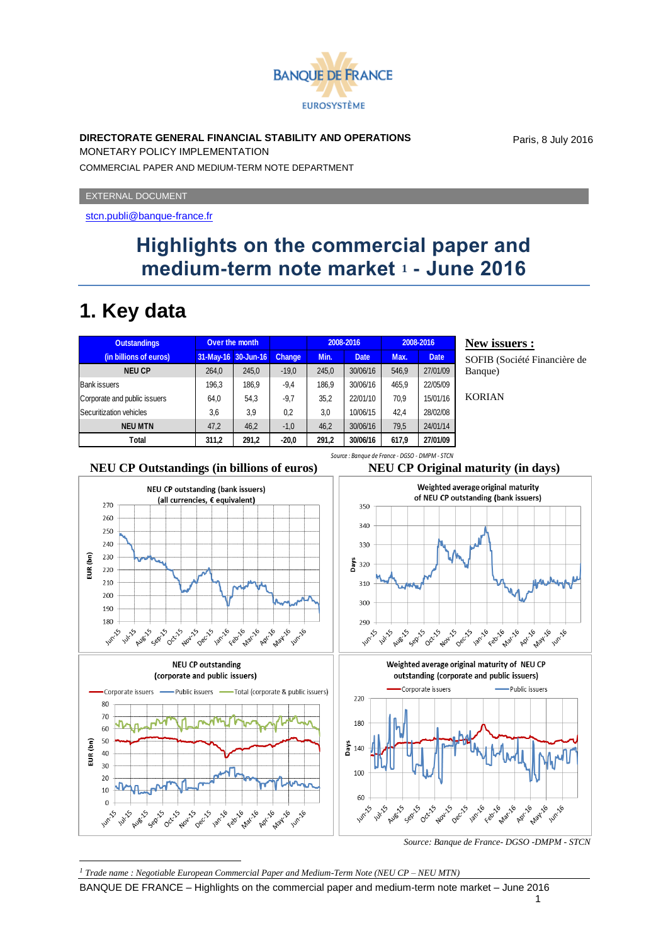

#### **DIRECTORATE GENERAL FINANCIAL STABILITY AND OPERATIONS**

MONETARY POLICY IMPLEMENTATION

COMMERCIAL PAPER AND MEDIUM-TERM NOTE DEPARTMENT

EXTERNAL DOCUMENT

<stcn.publi@banque-france.fr>

### **Highlights on the commercial paper and medium-term note market <sup>1</sup> - June 2016**

## **1. Key data**

| <b>Outstandings</b>          | Over the month |                     |               | 2008-2016 |             | 2008-2016 |             |
|------------------------------|----------------|---------------------|---------------|-----------|-------------|-----------|-------------|
| (in billions of euros)       |                | 31-May-16 30-Jun-16 | <b>Change</b> | Min.      | <b>Date</b> | Max.      | <b>Date</b> |
| <b>NEU CP</b>                | 264.0          | 245,0               | $-19.0$       | 245.0     | 30/06/16    | 546,9     | 27/01/09    |
| <b>Bank issuers</b>          | 196,3          | 186,9               | $-9,4$        | 186.9     | 30/06/16    | 465,9     | 22/05/09    |
| Corporate and public issuers | 64.0           | 54,3                | $-9,7$        | 35,2      | 22/01/10    | 70,9      | 15/01/16    |
| Securitization vehicles      | 3,6            | 3.9                 | 0.2           | 3,0       | 10/06/15    | 42.4      | 28/02/08    |
| <b>NEU MTN</b>               | 47,2           | 46,2                | $-1,0$        | 46,2      | 30/06/16    | 79,5      | 24/01/14    |
| Total                        | 311,2          | 291,2               | $-20,0$       | 291.2     | 30/06/16    | 617,9     | 27/01/09    |

**New issuers :**

SOFIB (Société Financière de Banque)

KORIAN

#### **NEU CP Outstandings (in billions of euros) NEU CP Original maturity (in days)**

*Source : Banque de France - DGSO - DMPM - STCN*



*Source: Banque de France- DGSO -DMPM - STCN*

Paris, 8 July 2016

l

BANQUE DE FRANCE – Highlights on the commercial paper and medium-term note market – June 2016